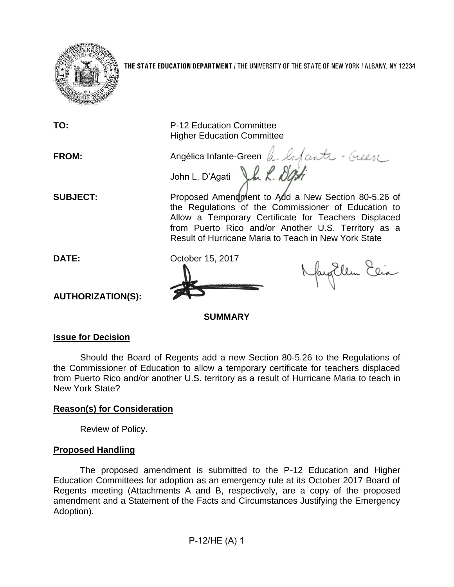

**TO:** P-12 Education Committee Higher Education Committee **FROM:** Angélica Infante-Green h. Infante - Geen John L. D'Agati J.h. L. Dight **SUBJECT:** Proposed Amendment to Add a New Section 80-5.26 of the Regulations of the Commissioner of Education to Allow a Temporary Certificate for Teachers Displaced from Puerto Rico and/or Another U.S. Territory as a Result of Hurricane Maria to Teach in New York State **DATE:** October 15, 2017 Naytlem Elia **AUTHORIZATION(S): SUMMARY**

## **Issue for Decision**

Should the Board of Regents add a new Section 80-5.26 to the Regulations of the Commissioner of Education to allow a temporary certificate for teachers displaced from Puerto Rico and/or another U.S. territory as a result of Hurricane Maria to teach in New York State?

## **Reason(s) for Consideration**

Review of Policy.

## **Proposed Handling**

The proposed amendment is submitted to the P-12 Education and Higher Education Committees for adoption as an emergency rule at its October 2017 Board of Regents meeting (Attachments A and B, respectively, are a copy of the proposed amendment and a Statement of the Facts and Circumstances Justifying the Emergency Adoption).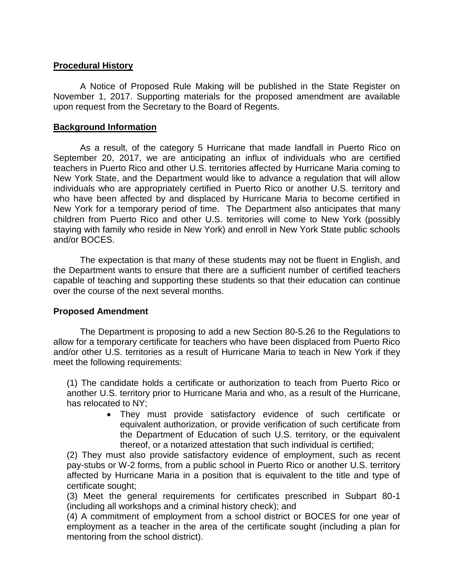## **Procedural History**

A Notice of Proposed Rule Making will be published in the State Register on November 1, 2017. Supporting materials for the proposed amendment are available upon request from the Secretary to the Board of Regents.

### **Background Information**

As a result, of the category 5 Hurricane that made landfall in Puerto Rico on September 20, 2017, we are anticipating an influx of individuals who are certified teachers in Puerto Rico and other U.S. territories affected by Hurricane Maria coming to New York State, and the Department would like to advance a regulation that will allow individuals who are appropriately certified in Puerto Rico or another U.S. territory and who have been affected by and displaced by Hurricane Maria to become certified in New York for a temporary period of time. The Department also anticipates that many children from Puerto Rico and other U.S. territories will come to New York (possibly staying with family who reside in New York) and enroll in New York State public schools and/or BOCES.

The expectation is that many of these students may not be fluent in English, and the Department wants to ensure that there are a sufficient number of certified teachers capable of teaching and supporting these students so that their education can continue over the course of the next several months.

## **Proposed Amendment**

The Department is proposing to add a new Section 80-5.26 to the Regulations to allow for a temporary certificate for teachers who have been displaced from Puerto Rico and/or other U.S. territories as a result of Hurricane Maria to teach in New York if they meet the following requirements:

(1) The candidate holds a certificate or authorization to teach from Puerto Rico or another U.S. territory prior to Hurricane Maria and who, as a result of the Hurricane, has relocated to NY;

> • They must provide satisfactory evidence of such certificate or equivalent authorization, or provide verification of such certificate from the Department of Education of such U.S. territory, or the equivalent thereof, or a notarized attestation that such individual is certified;

(2) They must also provide satisfactory evidence of employment, such as recent pay-stubs or W-2 forms, from a public school in Puerto Rico or another U.S. territory affected by Hurricane Maria in a position that is equivalent to the title and type of certificate sought;

(3) Meet the general requirements for certificates prescribed in Subpart 80-1 (including all workshops and a criminal history check); and

(4) A commitment of employment from a school district or BOCES for one year of employment as a teacher in the area of the certificate sought (including a plan for mentoring from the school district).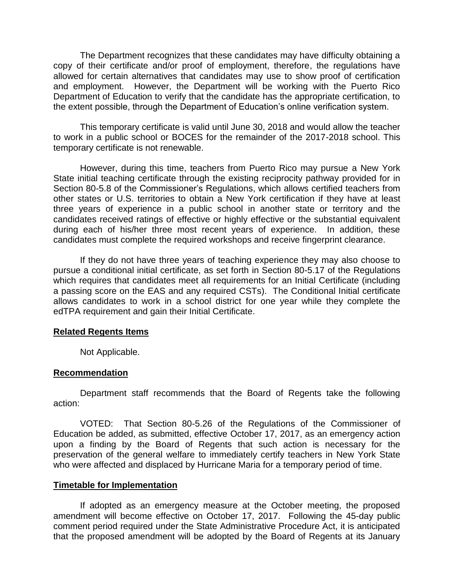The Department recognizes that these candidates may have difficulty obtaining a copy of their certificate and/or proof of employment, therefore, the regulations have allowed for certain alternatives that candidates may use to show proof of certification and employment. However, the Department will be working with the Puerto Rico Department of Education to verify that the candidate has the appropriate certification, to the extent possible, through the Department of Education's online verification system.

This temporary certificate is valid until June 30, 2018 and would allow the teacher to work in a public school or BOCES for the remainder of the 2017-2018 school. This temporary certificate is not renewable.

However, during this time, teachers from Puerto Rico may pursue a New York State initial teaching certificate through the existing reciprocity pathway provided for in Section 80-5.8 of the Commissioner's Regulations, which allows certified teachers from other states or U.S. territories to obtain a New York certification if they have at least three years of experience in a public school in another state or territory and the candidates received ratings of effective or highly effective or the substantial equivalent during each of his/her three most recent years of experience. In addition, these candidates must complete the required workshops and receive fingerprint clearance.

If they do not have three years of teaching experience they may also choose to pursue a conditional initial certificate, as set forth in Section 80-5.17 of the Regulations which requires that candidates meet all requirements for an Initial Certificate (including a passing score on the EAS and any required CSTs). The Conditional Initial certificate allows candidates to work in a school district for one year while they complete the edTPA requirement and gain their Initial Certificate.

#### **Related Regents Items**

Not Applicable.

## **Recommendation**

Department staff recommends that the Board of Regents take the following action:

VOTED: That Section 80-5.26 of the Regulations of the Commissioner of Education be added, as submitted, effective October 17, 2017, as an emergency action upon a finding by the Board of Regents that such action is necessary for the preservation of the general welfare to immediately certify teachers in New York State who were affected and displaced by Hurricane Maria for a temporary period of time.

#### **Timetable for Implementation**

If adopted as an emergency measure at the October meeting, the proposed amendment will become effective on October 17, 2017. Following the 45-day public comment period required under the State Administrative Procedure Act, it is anticipated that the proposed amendment will be adopted by the Board of Regents at its January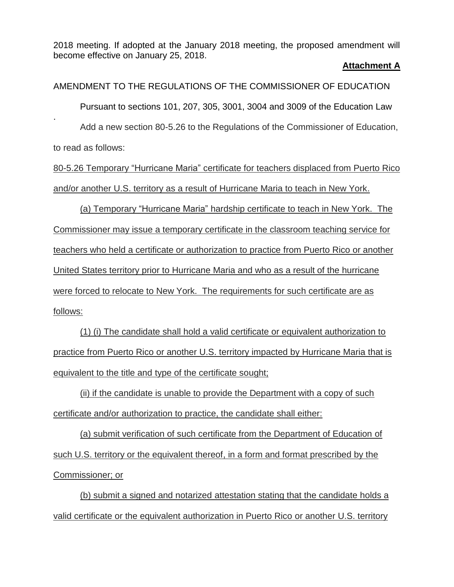2018 meeting. If adopted at the January 2018 meeting, the proposed amendment will become effective on January 25, 2018.

#### **Attachment A**

AMENDMENT TO THE REGULATIONS OF THE COMMISSIONER OF EDUCATION Pursuant to sections 101, 207, 305, 3001, 3004 and 3009 of the Education Law . Add a new section 80-5.26 to the Regulations of the Commissioner of Education, to read as follows:

80-5.26 Temporary "Hurricane Maria" certificate for teachers displaced from Puerto Rico and/or another U.S. territory as a result of Hurricane Maria to teach in New York.

(a) Temporary "Hurricane Maria" hardship certificate to teach in New York. The Commissioner may issue a temporary certificate in the classroom teaching service for teachers who held a certificate or authorization to practice from Puerto Rico or another United States territory prior to Hurricane Maria and who as a result of the hurricane were forced to relocate to New York. The requirements for such certificate are as follows:

(1) (i) The candidate shall hold a valid certificate or equivalent authorization to practice from Puerto Rico or another U.S. territory impacted by Hurricane Maria that is equivalent to the title and type of the certificate sought;

(ii) if the candidate is unable to provide the Department with a copy of such certificate and/or authorization to practice, the candidate shall either:

(a) submit verification of such certificate from the Department of Education of such U.S. territory or the equivalent thereof, in a form and format prescribed by the Commissioner; or

(b) submit a signed and notarized attestation stating that the candidate holds a valid certificate or the equivalent authorization in Puerto Rico or another U.S. territory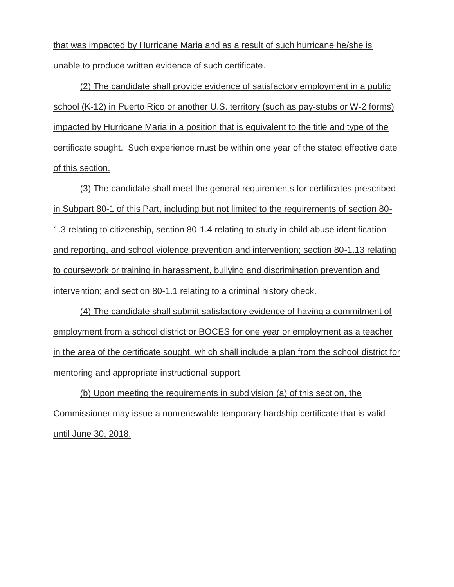that was impacted by Hurricane Maria and as a result of such hurricane he/she is unable to produce written evidence of such certificate.

(2) The candidate shall provide evidence of satisfactory employment in a public school (K-12) in Puerto Rico or another U.S. territory (such as pay-stubs or W-2 forms) impacted by Hurricane Maria in a position that is equivalent to the title and type of the certificate sought. Such experience must be within one year of the stated effective date of this section.

(3) The candidate shall meet the general requirements for certificates prescribed in Subpart 80-1 of this Part, including but not limited to the requirements of section 80- 1.3 relating to citizenship, section 80-1.4 relating to study in child abuse identification and reporting, and school violence prevention and intervention; section 80-1.13 relating to coursework or training in harassment, bullying and discrimination prevention and intervention; and section 80-1.1 relating to a criminal history check.

(4) The candidate shall submit satisfactory evidence of having a commitment of employment from a school district or BOCES for one year or employment as a teacher in the area of the certificate sought, which shall include a plan from the school district for mentoring and appropriate instructional support.

(b) Upon meeting the requirements in subdivision (a) of this section, the Commissioner may issue a nonrenewable temporary hardship certificate that is valid until June 30, 2018.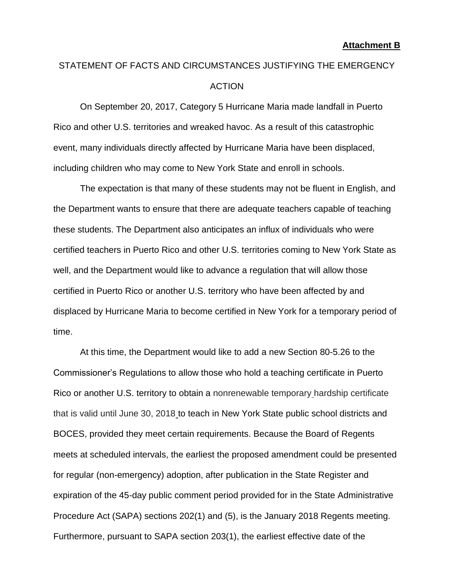# STATEMENT OF FACTS AND CIRCUMSTANCES JUSTIFYING THE EMERGENCY ACTION

On September 20, 2017, Category 5 Hurricane Maria made landfall in Puerto Rico and other U.S. territories and wreaked havoc. As a result of this catastrophic event, many individuals directly affected by Hurricane Maria have been displaced, including children who may come to New York State and enroll in schools.

The expectation is that many of these students may not be fluent in English, and the Department wants to ensure that there are adequate teachers capable of teaching these students. The Department also anticipates an influx of individuals who were certified teachers in Puerto Rico and other U.S. territories coming to New York State as well, and the Department would like to advance a regulation that will allow those certified in Puerto Rico or another U.S. territory who have been affected by and displaced by Hurricane Maria to become certified in New York for a temporary period of time.

At this time, the Department would like to add a new Section 80-5.26 to the Commissioner's Regulations to allow those who hold a teaching certificate in Puerto Rico or another U.S. territory to obtain a nonrenewable temporary hardship certificate that is valid until June 30, 2018 to teach in New York State public school districts and BOCES, provided they meet certain requirements. Because the Board of Regents meets at scheduled intervals, the earliest the proposed amendment could be presented for regular (non-emergency) adoption, after publication in the State Register and expiration of the 45-day public comment period provided for in the State Administrative Procedure Act (SAPA) sections 202(1) and (5), is the January 2018 Regents meeting. Furthermore, pursuant to SAPA section 203(1), the earliest effective date of the